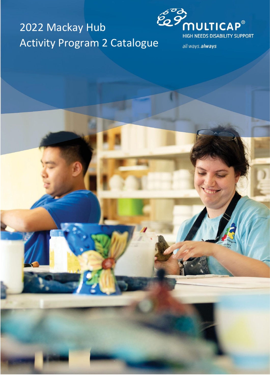# 2022 Mackay Hub **ELENGER CONSUMED SERVING ACTIVITY SUPPRENDISABILITY SUPPRENDISABILITY SUPPRENDISABILITY SUPPRENDISABILITY SUPPRENDISABILITY SUPPRENDISABILITY SUPPRENDISABILITY SUPPRENDISABILITY SUPPRENDISABILITY SUPPRENDISABILITY SUPPREN**



all ways.always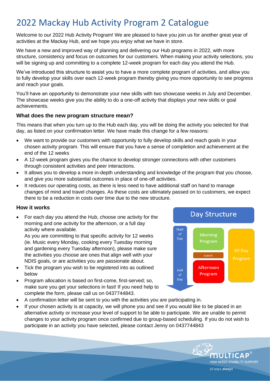### 2022 Mackay Hub Activity Program 2 Catalogue

Welcome to our 2022 Hub Activity Program! We are pleased to have you join us for another great year of activities at the Mackay Hub, and we hope you enjoy what we have in store.

We have a new and improved way of planning and delivering our Hub programs in 2022, with more structure, consistency and focus on outcomes for our customers. When making your activity selections, you will be signing up and committing to a complete 12-week program for each day you attend the Hub.

We've introduced this structure to assist you to have a more complete program of activities, and allow you to fully develop your skills over each 12-week program thereby giving you more opportunity to see progress and reach your goals.

You'll have an opportunity to demonstrate your new skills with two showcase weeks in July and December. The showcase weeks give you the ability to do a one-off activity that displays your new skills or goal achievements.

#### **What does the new program structure mean?**

This means that when you turn up to the Hub each day, you will be doing the activity you selected for that day, as listed on your confirmation letter. We have made this change for a few reasons:

- We want to provide our customers with opportunity to fully develop skills and reach goals in your chosen activity program. This will ensure that you have a sense of completion and achievement at the end of the 12 weeks
- A 12-week program gives you the chance to develop stronger connections with other customers through consistent activities and peer interactions.
- It allows you to develop a more in-depth understanding and knowledge of the program that you choose, and give you more substantial outcomes in place of one-off activities.
- It reduces our operating costs, as there is less need to have additional staff on hand to manage changes of mind and travel changes. As these costs are ultimately passed on to customers, we expect there to be a reduction in costs over time due to the new structure.

#### **How it works**

• For each day you attend the Hub, choose one activity for the morning and one activity for the afternoon, or a full day activity where available.

As you are committing to that specific activity for 12 weeks (ie. Music every Monday, cooking every Tuesday morning and gardening every Tuesday afternoon), please make sure the activities you choose are ones that align well with your NDIS goals, or are activities you are passionate about.

- Tick the program you wish to be registered into as outlined below
- Program allocation is based on first-come, first-served; so, make sure you get your selections in fast! If you need help to complete the form, please call us on 0437744843.



MULTIC

all ways.always

HIGH NEEDS DISABILITY SUPPORT

- A confirmation letter will be sent to you with the activities you are participating in.
- If your chosen activity is at capacity, we will phone you and see if you would like to be placed in an alternative activity or increase your level of support to be able to participate. We are unable to permit changes to your activity program once confirmed due to group-based scheduling. If you do not wish to participate in an activity you have selected, please contact Jenny on 0437744843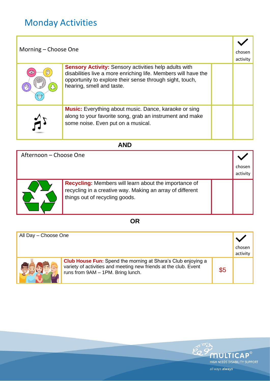## Monday Activities

| Morning – Choose One |                                                                                                                                                                                                                         |  | chosen<br>activity |
|----------------------|-------------------------------------------------------------------------------------------------------------------------------------------------------------------------------------------------------------------------|--|--------------------|
|                      | <b>Sensory Activity:</b> Sensory activities help adults with<br>disabilities live a more enriching life. Members will have the<br>opportunity to explore their sense through sight, touch,<br>hearing, smell and taste. |  |                    |
|                      | <b>Music:</b> Everything about music. Dance, karaoke or sing<br>along to your favorite song, grab an instrument and make<br>some noise. Even put on a musical.                                                          |  |                    |

### **AND**

| Afternoon - Choose One |                                                                                                                                                             |  |                    |
|------------------------|-------------------------------------------------------------------------------------------------------------------------------------------------------------|--|--------------------|
|                        |                                                                                                                                                             |  | chosen<br>activity |
|                        | <b>Recycling:</b> Members will learn about the importance of<br>recycling in a creative way. Making an array of different<br>things out of recycling goods. |  |                    |

#### **OR**

| All Day - Choose One |                                                                                                                                                                              |     |                    |
|----------------------|------------------------------------------------------------------------------------------------------------------------------------------------------------------------------|-----|--------------------|
|                      |                                                                                                                                                                              |     | chosen<br>activity |
|                      | <b>Club House Fun:</b> Spend the morning at Shara's Club enjoying a<br>variety of activities and meeting new friends at the club. Event<br>runs from 9AM - 1PM. Bring lunch. | \$5 |                    |

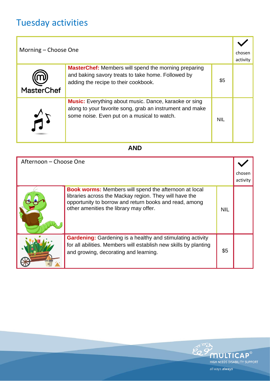# Tuesday activities

| Morning – Choose One |                                                                                                                                                                         | chosen<br>activity |  |
|----------------------|-------------------------------------------------------------------------------------------------------------------------------------------------------------------------|--------------------|--|
| <b>MasterChef</b>    | <b>MasterChef:</b> Members will spend the morning preparing<br>and baking savory treats to take home. Followed by<br>adding the recipe to their cookbook.               | \$5                |  |
|                      | <b>Music:</b> Everything about music. Dance, karaoke or sing<br>along to your favorite song, grab an instrument and make<br>some noise. Even put on a musical to watch. | <b>NIL</b>         |  |

#### **AND**

| Afternoon - Choose One |                                                                                                                                                                                                                            |            |                    |
|------------------------|----------------------------------------------------------------------------------------------------------------------------------------------------------------------------------------------------------------------------|------------|--------------------|
|                        |                                                                                                                                                                                                                            |            | chosen<br>activity |
|                        | <b>Book worms:</b> Members will spend the afternoon at local<br>libraries across the Mackay region. They will have the<br>opportunity to borrow and return books and read, among<br>other amenities the library may offer. | <b>NIL</b> |                    |
|                        | <b>Gardening:</b> Gardening is a healthy and stimulating activity<br>for all abilities. Members will establish new skills by planting<br>and growing, decorating and learning.                                             | \$5        |                    |

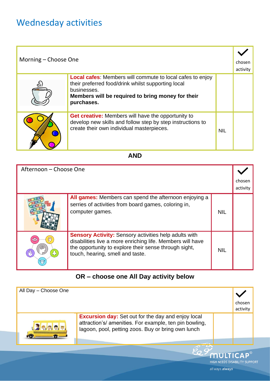### Wednesday activities

| Morning – Choose One |                                                                                                                                                                                                          |            | chosen<br>activity |
|----------------------|----------------------------------------------------------------------------------------------------------------------------------------------------------------------------------------------------------|------------|--------------------|
| לם                   | <b>Local cafes:</b> Members will commute to local cafes to enjoy<br>their preferred food/drink whilst supporting local<br>businesses.<br>Members will be required to bring money for their<br>purchases. |            |                    |
|                      | <b>Get creative:</b> Members will have the opportunity to<br>develop new skills and follow step by step instructions to<br>create their own individual masterpieces.                                     | <b>NIL</b> |                    |

#### **AND**

| Afternoon - Choose One |                                                                                                                                                                                                                         |            |                    |
|------------------------|-------------------------------------------------------------------------------------------------------------------------------------------------------------------------------------------------------------------------|------------|--------------------|
|                        |                                                                                                                                                                                                                         |            | chosen<br>activity |
|                        | All games: Members can spend the afternoon enjoying a<br>serries of activities from board games, coloring in,<br>computer games.                                                                                        | <b>NIL</b> |                    |
|                        | <b>Sensory Activity: Sensory activities help adults with</b><br>disabilities live a more enriching life. Members will have<br>the opportunity to explore their sense through sight,<br>touch, hearing, smell and taste. | <b>NIL</b> |                    |

### **OR – choose one All Day activity below**

| All Day - Choose One |                                                                                                                                                                           |                              |                    |
|----------------------|---------------------------------------------------------------------------------------------------------------------------------------------------------------------------|------------------------------|--------------------|
|                      |                                                                                                                                                                           |                              | chosen<br>activity |
| <u> 12 9 9 9 5</u>   | <b>Excursion day:</b> Set out for the day and enjoy local<br>attraction's/ amenities. For example, ten pin bowling,<br>lagoon, pool, petting zoos. Buy or bring own lunch |                              |                    |
|                      |                                                                                                                                                                           | LIICH NEEDS DISABILITY SHOOG | <b>MULTICAP®</b>   |

all ways.always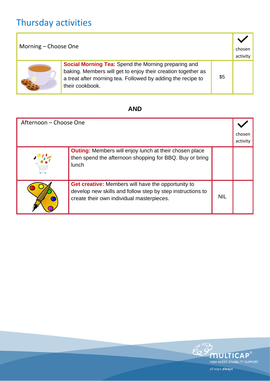# Thursday activities

| Morning - Choose One |                                                                                                                                                                                                              | chosen<br>activity |  |
|----------------------|--------------------------------------------------------------------------------------------------------------------------------------------------------------------------------------------------------------|--------------------|--|
|                      | <b>Social Morning Tea:</b> Spend the Morning preparing and<br>baking. Members will get to enjoy their creation together as<br>a treat after morning tea. Followed by adding the recipe to<br>their cookbook. | \$5                |  |

### **AND**

| Afternoon - Choose One |                                                                                                                                                                      |            | chosen<br>activity |
|------------------------|----------------------------------------------------------------------------------------------------------------------------------------------------------------------|------------|--------------------|
|                        | <b>Outing:</b> Members will enjoy lunch at their chosen place<br>then spend the afternoon shopping for BBQ. Buy or bring<br><b>lunch</b>                             |            |                    |
|                        | <b>Get creative:</b> Members will have the opportunity to<br>develop new skills and follow step by step instructions to<br>create their own individual masterpieces. | <b>NIL</b> |                    |

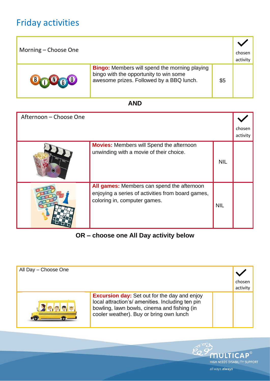### Friday activities

| Morning – Choose One |                                                                                                                                            |     | chosen<br>activity |
|----------------------|--------------------------------------------------------------------------------------------------------------------------------------------|-----|--------------------|
| <b>BOUGO</b>         | <b>Bingo:</b> Members will spend the morning playing<br>bingo with the opportunity to win some<br>awesome prizes. Followed by a BBQ lunch. | \$5 |                    |

### **AND**

| Afternoon - Choose One |                                                                                                                                 |            |                    |
|------------------------|---------------------------------------------------------------------------------------------------------------------------------|------------|--------------------|
|                        |                                                                                                                                 |            | chosen<br>activity |
|                        | <b>Movies:</b> Members will Spend the afternoon<br>unwinding with a movie of their choice.                                      | <b>NIL</b> |                    |
|                        | All games: Members can spend the afternoon<br>enjoying a series of activities from board games,<br>coloring in, computer games. | <b>NIL</b> |                    |

#### **OR – choose one All Day activity below**

| All Day - Choose One  |                                                                                                                                                                                                   | chosen<br>activity |
|-----------------------|---------------------------------------------------------------------------------------------------------------------------------------------------------------------------------------------------|--------------------|
| $\sqrt{2}$ o, o, o, o | <b>Excursion day:</b> Set out for the day and enjoy<br>local attraction's/ amenities. Including ten pin<br>bowling, lawn bowls, cinema and fishing (in<br>cooler weather). Buy or bring own lunch |                    |

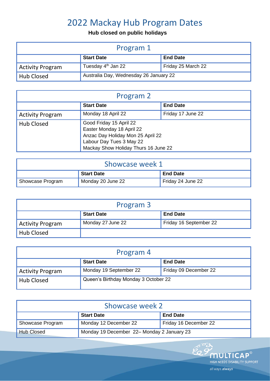### 2022 Mackay Hub Program Dates

#### **Hub closed on public holidays**

| Program 1               |                                        |                    |
|-------------------------|----------------------------------------|--------------------|
|                         | <b>Start Date</b>                      | <b>End Date</b>    |
| <b>Activity Program</b> | Tuesday 4 <sup>th</sup> Jan 22         | Friday 25 March 22 |
| <b>Hub Closed</b>       | Australia Day, Wednesday 26 January 22 |                    |

| Program 2               |                                                                                                                                                               |                   |  |
|-------------------------|---------------------------------------------------------------------------------------------------------------------------------------------------------------|-------------------|--|
|                         | <b>Start Date</b>                                                                                                                                             | <b>End Date</b>   |  |
| <b>Activity Program</b> | Monday 18 April 22                                                                                                                                            | Friday 17 June 22 |  |
| <b>Hub Closed</b>       | Good Friday 15 April 22<br>Easter Monday 18 April 22<br>Anzac Day Holiday Mon 25 April 22<br>Labour Day Tues 3 May 22<br>Mackay Show Holiday Thurs 16 June 22 |                   |  |

| Showcase week 1  |                   |                   |
|------------------|-------------------|-------------------|
|                  | <b>Start Date</b> | <b>End Date</b>   |
| Showcase Program | Monday 20 June 22 | Friday 24 June 22 |

| Program 3               |                   |                        |
|-------------------------|-------------------|------------------------|
|                         | <b>Start Date</b> | <b>End Date</b>        |
| <b>Activity Program</b> | Monday 27 June 22 | Friday 16 September 22 |
| Hub Closed              |                   |                        |

| Program 4               |                                      |                       |
|-------------------------|--------------------------------------|-----------------------|
|                         | <b>Start Date</b>                    | <b>End Date</b>       |
| <b>Activity Program</b> | Monday 19 September 22               | Friday 09 December 22 |
| <b>Hub Closed</b>       | Queen's Birthday Monday 3 October 22 |                       |

| Showcase week 2   |                                            |                       |
|-------------------|--------------------------------------------|-----------------------|
|                   | <b>Start Date</b>                          | <b>End Date</b>       |
| Showcase Program  | Monday 12 December 22                      | Friday 16 December 22 |
| <b>Hub Closed</b> | Monday 19 December 22– Monday 2 January 23 |                       |